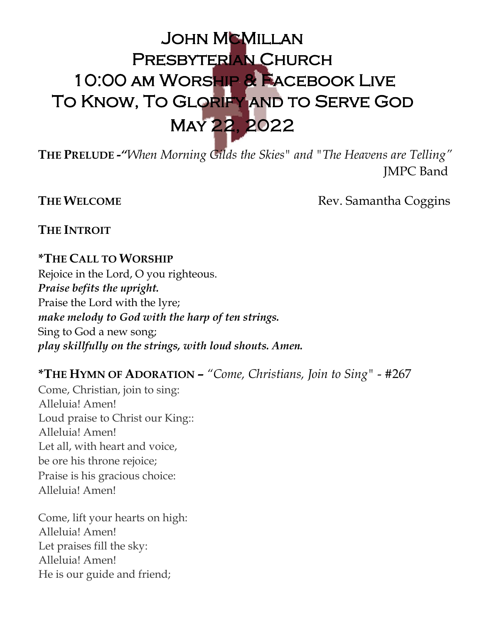# JOHN MCMILLAN Presbyterian Church 10:00 am Worship & Facebook Live To Know, To Glorify and to Serve God May 22, 2022

**THE PRELUDE -***"When Morning Gilds the Skies" and "The Heavens are Telling"* JMPC Band

**THE WELCOME** Rev. Samantha Coggins

**THE INTROIT**

# **\*THE CALL TO WORSHIP**

Rejoice in the Lord, O you righteous. *Praise befits the upright.* Praise the Lord with the lyre; *make melody to God with the harp of ten strings.* Sing to God a new song; *play skillfully on the strings, with loud shouts. Amen.*

# **\*THE HYMN OF ADORATION –** *"Come, Christians, Join to Sing"* - #267

Come, Christian, join to sing: Alleluia! Amen! Loud praise to Christ our King:: Alleluia! Amen! Let all, with heart and voice, be ore his throne rejoice; Praise is his gracious choice: Alleluia! Amen!

Come, lift your hearts on high: Alleluia! Amen! Let praises fill the sky: Alleluia! Amen! He is our guide and friend;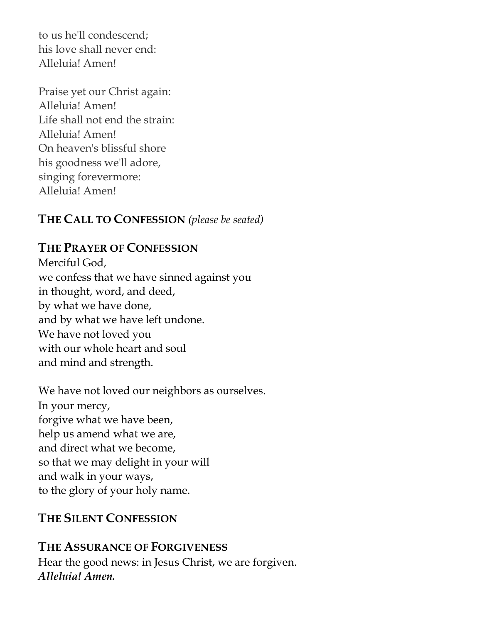to us he'll condescend; his love shall never end: Alleluia! Amen!

Praise yet our Christ again: Alleluia! Amen! Life shall not end the strain: Alleluia! Amen! On heaven's blissful shore his goodness we'll adore, singing forevermore: Alleluia! Amen!

# **THE CALL TO CONFESSION** *(please be seated)*

# **THE PRAYER OF CONFESSION**

Merciful God, we confess that we have sinned against you in thought, word, and deed, by what we have done, and by what we have left undone. We have not loved you with our whole heart and soul and mind and strength.

We have not loved our neighbors as ourselves. In your mercy, forgive what we have been, help us amend what we are, and direct what we become, so that we may delight in your will and walk in your ways, to the glory of your holy name.

# **THE SILENT CONFESSION**

# **THE ASSURANCE OF FORGIVENESS**

Hear the good news: in Jesus Christ, we are forgiven. *Alleluia! Amen.*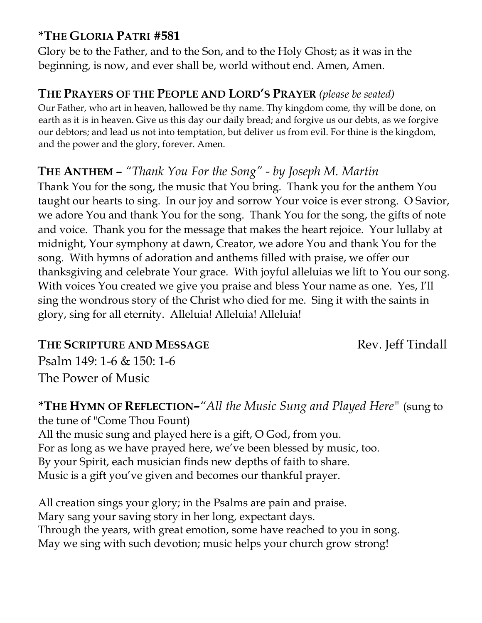# **\*THE GLORIA PATRI #581**

Glory be to the Father, and to the Son, and to the Holy Ghost; as it was in the beginning, is now, and ever shall be, world without end. Amen, Amen.

# **THE PRAYERS OF THE PEOPLE AND LORD'S PRAYER** *(please be seated)*

Our Father, who art in heaven, hallowed be thy name. Thy kingdom come, thy will be done, on earth as it is in heaven. Give us this day our daily bread; and forgive us our debts, as we forgive our debtors; and lead us not into temptation, but deliver us from evil. For thine is the kingdom, and the power and the glory, forever. Amen.

# **THE ANTHEM** – *"Thank You For the Song" - by Joseph M. Martin*

Thank You for the song, the music that You bring. Thank you for the anthem You taught our hearts to sing. In our joy and sorrow Your voice is ever strong. O Savior, we adore You and thank You for the song. Thank You for the song, the gifts of note and voice. Thank you for the message that makes the heart rejoice. Your lullaby at midnight, Your symphony at dawn, Creator, we adore You and thank You for the song. With hymns of adoration and anthems filled with praise, we offer our thanksgiving and celebrate Your grace. With joyful alleluias we lift to You our song. With voices You created we give you praise and bless Your name as one. Yes, I'll sing the wondrous story of the Christ who died for me. Sing it with the saints in glory, sing for all eternity. Alleluia! Alleluia! Alleluia!

# **THE SCRIPTURE AND MESSAGE Rev. Jeff Tindall**

Psalm 149: 1-6 & 150: 1-6 The Power of Music

#### **\*THE HYMN OF REFLECTION***–"All the Music Sung and Played Here"* (sung to the tune of "Come Thou Fount) All the music sung and played here is a gift, O God, from you. For as long as we have prayed here, we've been blessed by music, too. By your Spirit, each musician finds new depths of faith to share.

Music is a gift you've given and becomes our thankful prayer.

All creation sings your glory; in the Psalms are pain and praise. Mary sang your saving story in her long, expectant days. Through the years, with great emotion, some have reached to you in song. May we sing with such devotion; music helps your church grow strong!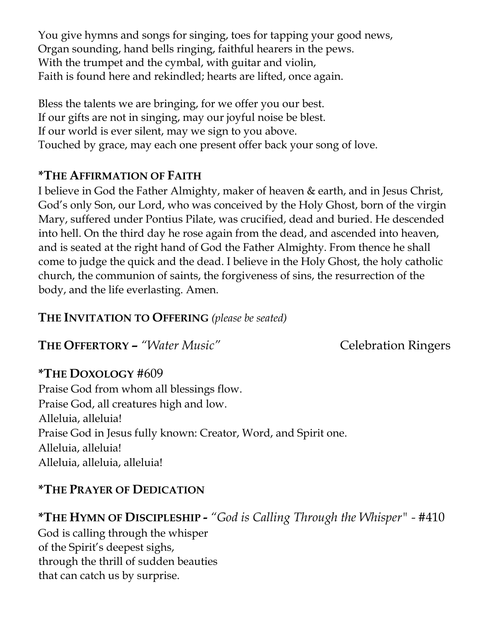You give hymns and songs for singing, toes for tapping your good news, Organ sounding, hand bells ringing, faithful hearers in the pews. With the trumpet and the cymbal, with guitar and violin, Faith is found here and rekindled; hearts are lifted, once again.

Bless the talents we are bringing, for we offer you our best. If our gifts are not in singing, may our joyful noise be blest. If our world is ever silent, may we sign to you above. Touched by grace, may each one present offer back your song of love.

# **\*THE AFFIRMATION OF FAITH**

I believe in God the Father Almighty, maker of heaven & earth, and in Jesus Christ, God's only Son, our Lord, who was conceived by the Holy Ghost, born of the virgin Mary, suffered under Pontius Pilate, was crucified, dead and buried. He descended into hell. On the third day he rose again from the dead, and ascended into heaven, and is seated at the right hand of God the Father Almighty. From thence he shall come to judge the quick and the dead. I believe in the Holy Ghost, the holy catholic church, the communion of saints, the forgiveness of sins, the resurrection of the body, and the life everlasting. Amen.

#### **THE INVITATION TO OFFERING** *(please be seated)*

**THE OFFERTORY –** *"Water Music"* Celebration Ringers

#### **\*THE DOXOLOGY** #609

Praise God from whom all blessings flow. Praise God, all creatures high and low. Alleluia, alleluia! Praise God in Jesus fully known: Creator, Word, and Spirit one. Alleluia, alleluia! Alleluia, alleluia, alleluia!

# **\*THE PRAYER OF DEDICATION**

# **\*THE HYMN OF DISCIPLESHIP -** *"God is Calling Through the Whisper" -* #410

God is calling through the whisper of the Spirit's deepest sighs, through the thrill of sudden beauties that can catch us by surprise.